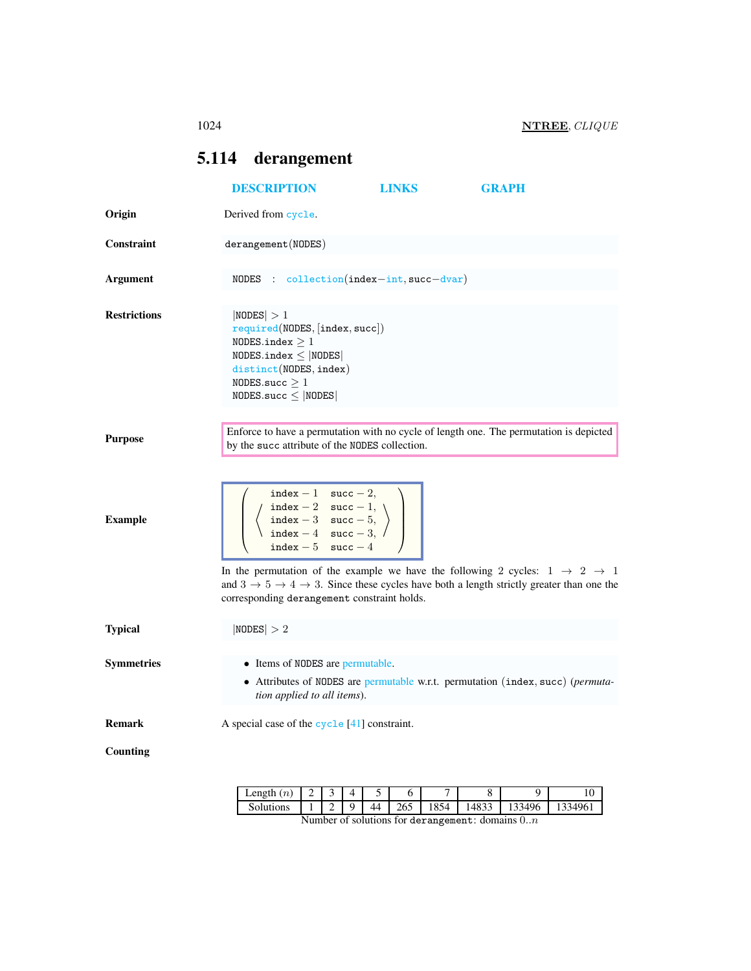## <span id="page-0-0"></span>5.114 derangement

|                     | <b>DESCRIPTION</b>                                                                                                                                                               | <b>LINKS</b> | <b>GRAPH</b>                                                                                                            |
|---------------------|----------------------------------------------------------------------------------------------------------------------------------------------------------------------------------|--------------|-------------------------------------------------------------------------------------------------------------------------|
| Origin              | Derived from cycle.                                                                                                                                                              |              |                                                                                                                         |
| Constraint          | derangement (NODES)                                                                                                                                                              |              |                                                                                                                         |
| Argument            | NODES : $\text{collection}(\text{index}-\text{int}, \text{succ}-\text{dvar})$                                                                                                    |              |                                                                                                                         |
| <b>Restrictions</b> | NODES  > 1<br>required(NDDES, [index, succ])<br>NODES.index $\geq 1$<br>$NODES.index \leq  NODES $<br>distinct(NODES, index)<br>NODES.succ $\geq 1$<br>$NODES.size \leq  NODES $ |              |                                                                                                                         |
| <b>Purpose</b>      | by the succ attribute of the NODES collection.                                                                                                                                   |              | Enforce to have a permutation with no cycle of length one. The permutation is depicted                                  |
| <b>Example</b>      | index $-1$ succ $-2$ ,<br>index - 2 succ - 1,<br>index - 3 succ - 5,<br>index - 4 succ - 3,<br>$succ - 4$<br>$index - 5$                                                         |              | In the permutation of the example we have the following 2 cycles: $1 \rightarrow 2 \rightarrow 1$                       |
|                     | corresponding derangement constraint holds.                                                                                                                                      |              | and $3 \rightarrow 5 \rightarrow 4 \rightarrow 3$ . Since these cycles have both a length strictly greater than one the |
| <b>Typical</b>      | NODES  > 2                                                                                                                                                                       |              |                                                                                                                         |
| <b>Symmetries</b>   | • Items of NODES are permutable.<br>tion applied to all items).                                                                                                                  |              | • Attributes of NODES are permutable w.r.t. permutation (index, succ) (permuta-                                         |
| <b>Remark</b>       | A special case of the cycle [41] constraint.                                                                                                                                     |              |                                                                                                                         |
| <b>Counting</b>     |                                                                                                                                                                                  |              |                                                                                                                         |

| $\sim$<br>Length<br>$\iota$ | –    |   |    |                                      |                             |     |                    |  |
|-----------------------------|------|---|----|--------------------------------------|-----------------------------|-----|--------------------|--|
|                             | $ -$ | - | ΔД | $\sim$ $\sim$ $\sim$<br>∠∪<br>$\sim$ | $\sim$ $\sim$ $\sim$<br>10J | ັບມ | JЕ<br>≺⊿<br>$\sim$ |  |

Number of solutions for derangement: domains 0..n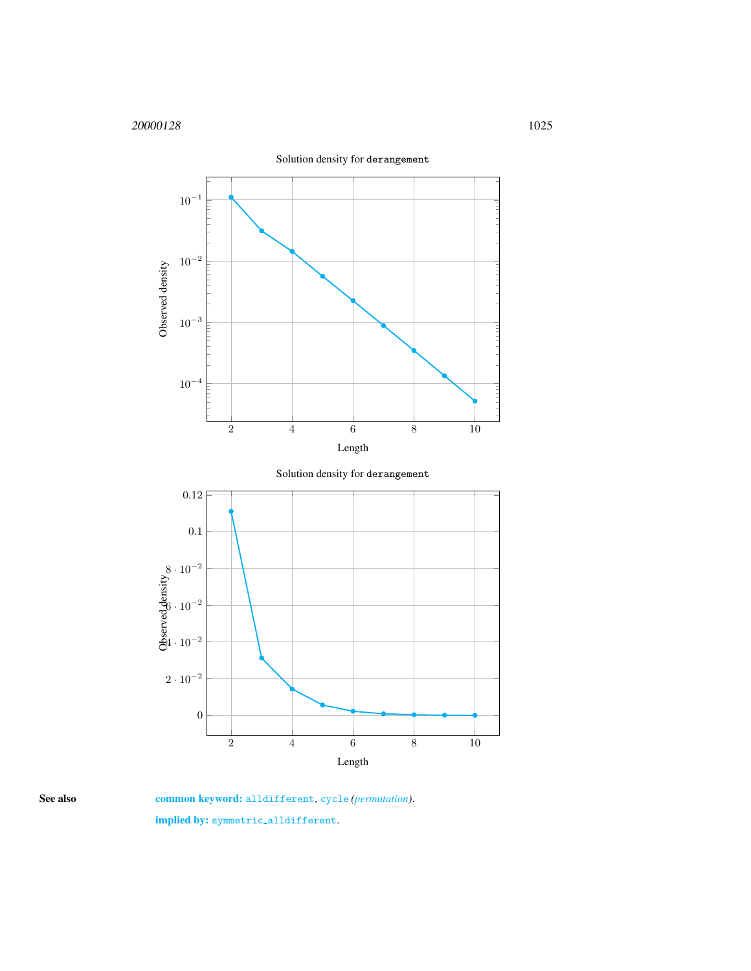

<span id="page-1-0"></span>

See also common keyword: alldifferent, cycle (*permutation*). implied by: symmetric alldifferent.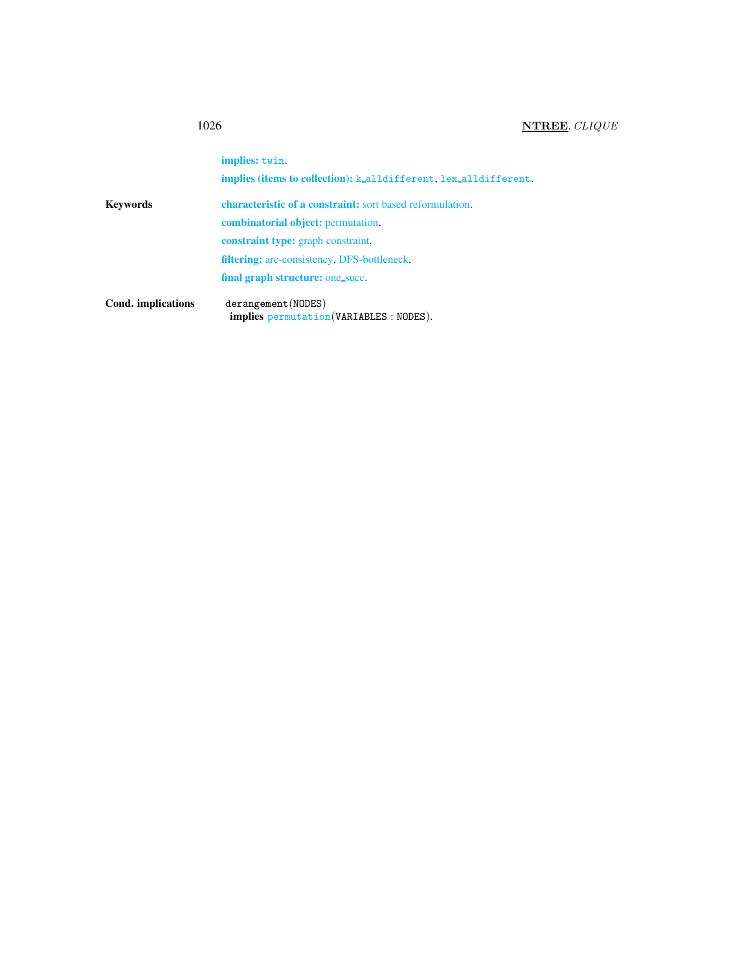## 1026 **NTREE**, *CLIQUE*

|                    | implies: twin.                                                         |
|--------------------|------------------------------------------------------------------------|
|                    | <b>implies (items to collection):</b> k_alldifferent_lex_alldifferent_ |
| <b>Keywords</b>    | <b>characteristic of a constraint:</b> sort based reformulation.       |
|                    | <b>combinatorial object:</b> permutation.                              |
|                    | <b>constraint type:</b> graph constraint.                              |
|                    | <b>filtering:</b> arc-consistency, DFS-bottleneck.                     |
|                    | final graph structure: one_succ.                                       |
| Cond. implications | derangement (NODES)<br>implies permutation (VARIABLES : NODES).        |